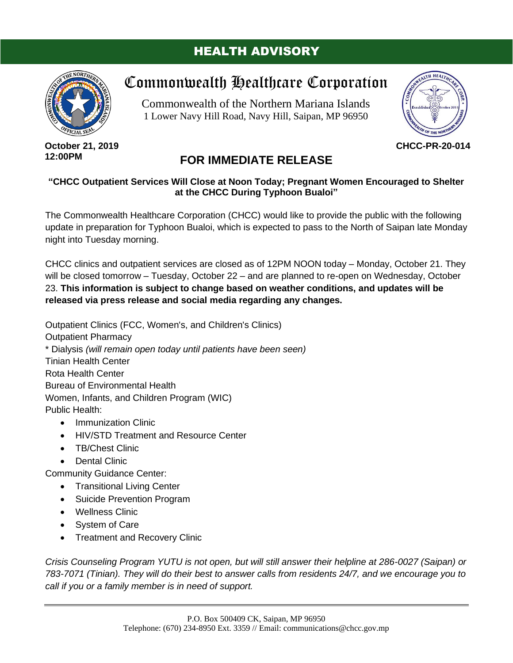### HEALTH ADVISORY



# Commonwealth Healthcare Corporation

Commonwealth of the Northern Mariana Islands 1 Lower Navy Hill Road, Navy Hill, Saipan, MP 96950



**CHCC-PR-20-014**

#### **October 21, 2019 12:00PM**

## **FOR IMMEDIATE RELEASE**

### **"CHCC Outpatient Services Will Close at Noon Today; Pregnant Women Encouraged to Shelter at the CHCC During Typhoon Bualoi"**

The Commonwealth Healthcare Corporation (CHCC) would like to provide the public with the following update in preparation for Typhoon Bualoi, which is expected to pass to the North of Saipan late Monday night into Tuesday morning.

CHCC clinics and outpatient services are closed as of 12PM NOON today – Monday, October 21. They will be closed tomorrow – Tuesday, October 22 – and are planned to re-open on Wednesday, October 23. **This information is subject to change based on weather conditions, and updates will be released via press release and social media regarding any changes.**

Outpatient Clinics (FCC, Women's, and Children's Clinics) Outpatient Pharmacy \* Dialysis *(will remain open today until patients have been seen)* Tinian Health Center Rota Health Center Bureau of Environmental Health Women, Infants, and Children Program (WIC) Public Health:

- Immunization Clinic
- HIV/STD Treatment and Resource Center
- TB/Chest Clinic
- Dental Clinic

Community Guidance Center:

- Transitional Living Center
- Suicide Prevention Program
- Wellness Clinic
- System of Care
- Treatment and Recovery Clinic

*Crisis Counseling Program YUTU is not open, but will still answer their helpline at 286-0027 (Saipan) or 783-7071 (Tinian). They will do their best to answer calls from residents 24/7, and we encourage you to call if you or a family member is in need of support.*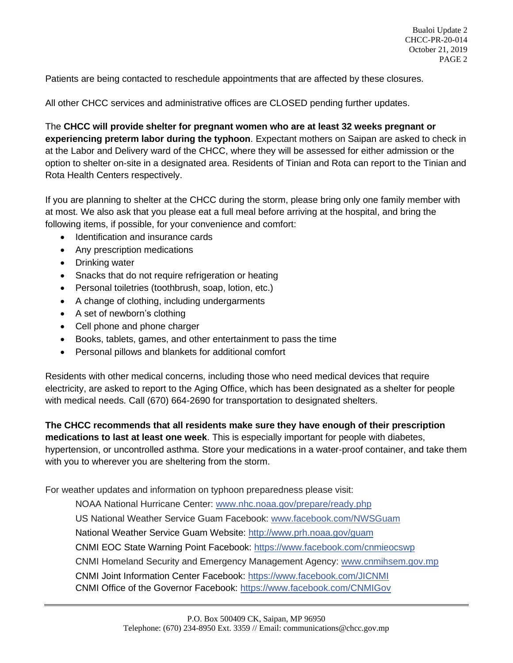Patients are being contacted to reschedule appointments that are affected by these closures.

All other CHCC services and administrative offices are CLOSED pending further updates.

The **CHCC will provide shelter for pregnant women who are at least 32 weeks pregnant or experiencing preterm labor during the typhoon**. Expectant mothers on Saipan are asked to check in at the Labor and Delivery ward of the CHCC, where they will be assessed for either admission or the option to shelter on-site in a designated area. Residents of Tinian and Rota can report to the Tinian and Rota Health Centers respectively.

If you are planning to shelter at the CHCC during the storm, please bring only one family member with at most. We also ask that you please eat a full meal before arriving at the hospital, and bring the following items, if possible, for your convenience and comfort:

- Identification and insurance cards
- Any prescription medications
- Drinking water
- Snacks that do not require refrigeration or heating
- Personal toiletries (toothbrush, soap, lotion, etc.)
- A change of clothing, including undergarments
- A set of newborn's clothing
- Cell phone and phone charger
- Books, tablets, games, and other entertainment to pass the time
- Personal pillows and blankets for additional comfort

Residents with other medical concerns, including those who need medical devices that require electricity, are asked to report to the Aging Office, which has been designated as a shelter for people with medical needs. Call (670) 664-2690 for transportation to designated shelters.

**The CHCC recommends that all residents make sure they have enough of their prescription medications to last at least one week**. This is especially important for people with diabetes, hypertension, or uncontrolled asthma. Store your medications in a water-proof container, and take them with you to wherever you are sheltering from the storm.

For weather updates and information on typhoon preparedness please visit:

NOAA National Hurricane Center: [www.nhc.noaa.gov/prepare/ready.php](http://www.nhc.noaa.gov/prepare/ready.php?fbclid=IwAR3UvR_j6C1qMp0pUW3BUma963v0pw9EiBsm7uwmECXq634IXnTYiamgosI) US National Weather Service Guam Facebook: [www.facebook.com/NWSGuam](https://www.facebook.com/NWSGuam/?__tn__=K-R&eid=ARCXo5U-WuT5Svp9IwkooWya2LazRg6LLmVS9K2tY0AetilBEO0dDopQY_CiAP_77gsXf9XazaHdVjwD&fref=mentions&__xts__%5B0%5D=68.ARCpYrS3XMMmNrOUMhxvPO3RRgEj8nXj-74kDDeyPJ0mft5H2N6xcsW29a_tBm5zAb0HTx2LU1DD30nfovOnddmcHMtsrlzdpBFcIMqcw3OGRKoOgIT9-uGii-XmhQ-rMv6NW7EPfszxORs0IUo6oi8P3i0PIIQXguv-8vbFPEfwyz3GK9PBrDan1bfiPCTvtzVf1ggzro7HJy3pdezCUTC7mj7wD8yK8S64gizmFgL39Zs3MO7mKWHDXuciN0mCVCjsGDSz-6J7ZKVXo4vQAsz9cp005gvDqWmId9qC0uLjKiR5HbtK9rbDEJUvAPRknNgO_q6LvV0QkvfTqqj3fzM) National Weather Service Guam Website:<http://www.prh.noaa.gov/guam> CNMI EOC State Warning Point Facebook:<https://www.facebook.com/cnmieocswp> CNMI Homeland Security and Emergency Management Agency: [www.cnmihsem.gov.mp](http://www.cnmihsem.gov.mp/?fbclid=IwAR0XzpQQd3tvScRlvkzBpPbgTFjHH4mdvOsOqbl1wDvB9FPgvtxvNHQmlOw) CNMI Joint Information Center Facebook:<https://www.facebook.com/JICNMI> CNMI Office of the Governor Facebook:<https://www.facebook.com/CNMIGov>